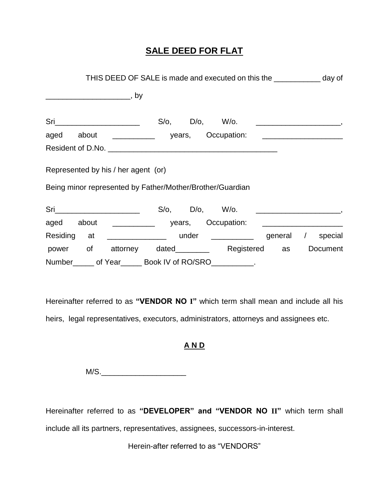## **SALE DEED FOR FLAT**

| THIS DEED OF SALE is made and executed on this the _____________ day of |                                                                |  |  |  |  |
|-------------------------------------------------------------------------|----------------------------------------------------------------|--|--|--|--|
|                                                                         | <u>___________________________</u> , by                        |  |  |  |  |
|                                                                         |                                                                |  |  |  |  |
|                                                                         | aged about __________ years, Occupation: _____________________ |  |  |  |  |
|                                                                         |                                                                |  |  |  |  |
|                                                                         | Represented by his / her agent (or)                            |  |  |  |  |
|                                                                         | Being minor represented by Father/Mother/Brother/Guardian      |  |  |  |  |
|                                                                         |                                                                |  |  |  |  |
|                                                                         | aged about __________ years, Occupation: ___________________   |  |  |  |  |
|                                                                         | Residing at _______________ under __________ general / special |  |  |  |  |
|                                                                         | power of attorney dated________ Registered as Document         |  |  |  |  |
|                                                                         | Number ______ of Year ______ Book IV of RO/SRO __________.     |  |  |  |  |

Hereinafter referred to as **"VENDOR NO I"** which term shall mean and include all his heirs, legal representatives, executors, administrators, attorneys and assignees etc.

### **A N D**

 $M/S.$ 

Hereinafter referred to as **"DEVELOPER" and "VENDOR NO II"** which term shall include all its partners, representatives, assignees, successors-in-interest.

Herein-after referred to as "VENDORS"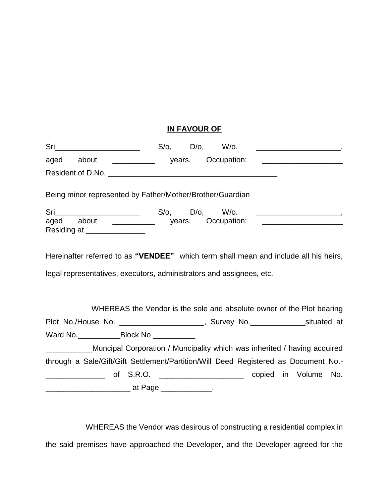### **IN FAVOUR OF**

| years, Occupation:<br>aged about                                                               |  |  | <u> 1980 - Andrea Andrew Maria (h. 1980).</u> |  |
|------------------------------------------------------------------------------------------------|--|--|-----------------------------------------------|--|
|                                                                                                |  |  |                                               |  |
| Being minor represented by Father/Mother/Brother/Guardian                                      |  |  |                                               |  |
| aged about __________ years, Occupation: _____________________<br>Residing at ________________ |  |  |                                               |  |
| Hereinafter referred to as "VENDEE" which term shall mean and include all his heirs,           |  |  |                                               |  |
| legal representatives, executors, administrators and assignees, etc.                           |  |  |                                               |  |
| WHEREAS the Vendor is the sole and absolute owner of the Plot bearing                          |  |  |                                               |  |
| Plot No./House No. _______________________, Survey No.________________situated at              |  |  |                                               |  |
| Ward No. ___________________Block No _____________                                             |  |  |                                               |  |
| Muncipal Corporation / Muncipality which was inherited / having acquired                       |  |  |                                               |  |
| through a Sale/Gift/Gift Settlement/Partition/Will Deed Registered as Document No.-            |  |  |                                               |  |
|                                                                                                |  |  |                                               |  |
|                                                                                                |  |  |                                               |  |

WHEREAS the Vendor was desirous of constructing a residential complex in the said premises have approached the Developer, and the Developer agreed for the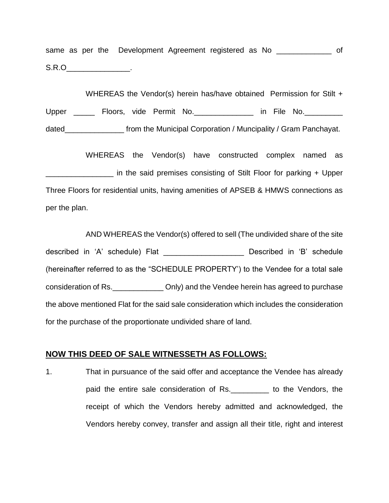same as per the Development Agreement registered as No \_\_\_\_\_\_\_\_\_\_\_\_\_\_ of  $S.R.O$ 

WHEREAS the Vendor(s) herein has/have obtained Permission for Stilt + Upper \_\_\_\_\_\_ Floors, vide Permit No. \_\_\_\_\_\_\_\_\_\_\_\_\_ in File No. \_\_\_\_\_\_\_\_\_ dated\_\_\_\_\_\_\_\_\_\_\_\_\_\_\_\_\_\_\_\_\_ from the Municipal Corporation / Muncipality / Gram Panchayat.

WHEREAS the Vendor(s) have constructed complex named as \_\_\_\_\_\_\_\_\_\_\_\_\_\_\_\_ in the said premises consisting of Stilt Floor for parking + Upper Three Floors for residential units, having amenities of APSEB & HMWS connections as per the plan.

AND WHEREAS the Vendor(s) offered to sell (The undivided share of the site described in 'A' schedule) Flat **Described** in 'B' schedule (hereinafter referred to as the "SCHEDULE PROPERTY') to the Vendee for a total sale consideration of Rs.\_\_\_\_\_\_\_\_\_\_\_\_ Only) and the Vendee herein has agreed to purchase the above mentioned Flat for the said sale consideration which includes the consideration for the purchase of the proportionate undivided share of land.

#### **NOW THIS DEED OF SALE WITNESSETH AS FOLLOWS:**

1. That in pursuance of the said offer and acceptance the Vendee has already paid the entire sale consideration of Rs.\_\_\_\_\_\_\_\_\_ to the Vendors, the receipt of which the Vendors hereby admitted and acknowledged, the Vendors hereby convey, transfer and assign all their title, right and interest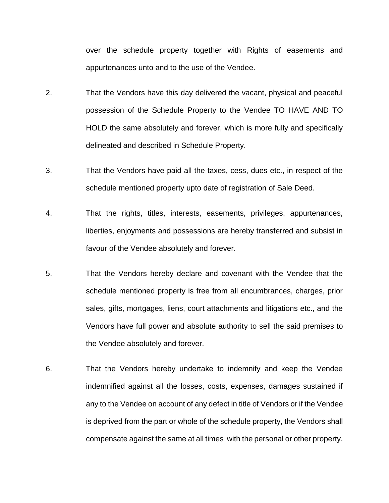over the schedule property together with Rights of easements and appurtenances unto and to the use of the Vendee.

- 2. That the Vendors have this day delivered the vacant, physical and peaceful possession of the Schedule Property to the Vendee TO HAVE AND TO HOLD the same absolutely and forever, which is more fully and specifically delineated and described in Schedule Property.
- 3. That the Vendors have paid all the taxes, cess, dues etc., in respect of the schedule mentioned property upto date of registration of Sale Deed.
- 4. That the rights, titles, interests, easements, privileges, appurtenances, liberties, enjoyments and possessions are hereby transferred and subsist in favour of the Vendee absolutely and forever.
- 5. That the Vendors hereby declare and covenant with the Vendee that the schedule mentioned property is free from all encumbrances, charges, prior sales, gifts, mortgages, liens, court attachments and litigations etc., and the Vendors have full power and absolute authority to sell the said premises to the Vendee absolutely and forever.
- 6. That the Vendors hereby undertake to indemnify and keep the Vendee indemnified against all the losses, costs, expenses, damages sustained if any to the Vendee on account of any defect in title of Vendors or if the Vendee is deprived from the part or whole of the schedule property, the Vendors shall compensate against the same at all times with the personal or other property.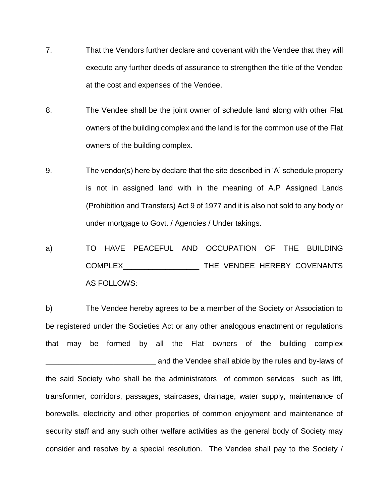- 7. That the Vendors further declare and covenant with the Vendee that they will execute any further deeds of assurance to strengthen the title of the Vendee at the cost and expenses of the Vendee.
- 8. The Vendee shall be the joint owner of schedule land along with other Flat owners of the building complex and the land is for the common use of the Flat owners of the building complex.
- 9. The vendor(s) here by declare that the site described in 'A' schedule property is not in assigned land with in the meaning of A.P Assigned Lands (Prohibition and Transfers) Act 9 of 1977 and it is also not sold to any body or under mortgage to Govt. / Agencies / Under takings.
- a) TO HAVE PEACEFUL AND OCCUPATION OF THE BUILDING COMPLEX\_\_\_\_\_\_\_\_\_\_\_\_\_\_\_\_\_\_ THE VENDEE HEREBY COVENANTS AS FOLLOWS:

b) The Vendee hereby agrees to be a member of the Society or Association to be registered under the Societies Act or any other analogous enactment or regulations that may be formed by all the Flat owners of the building complex \_\_\_\_\_\_\_\_\_\_\_\_\_\_\_\_\_\_\_\_\_\_\_\_\_\_ and the Vendee shall abide by the rules and by-laws of the said Society who shall be the administrators of common services such as lift, transformer, corridors, passages, staircases, drainage, water supply, maintenance of borewells, electricity and other properties of common enjoyment and maintenance of security staff and any such other welfare activities as the general body of Society may consider and resolve by a special resolution. The Vendee shall pay to the Society /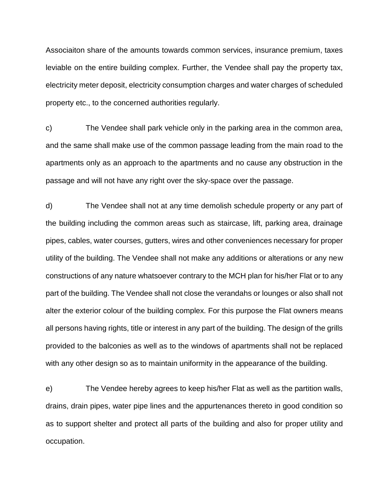Associaiton share of the amounts towards common services, insurance premium, taxes leviable on the entire building complex. Further, the Vendee shall pay the property tax, electricity meter deposit, electricity consumption charges and water charges of scheduled property etc., to the concerned authorities regularly.

c) The Vendee shall park vehicle only in the parking area in the common area, and the same shall make use of the common passage leading from the main road to the apartments only as an approach to the apartments and no cause any obstruction in the passage and will not have any right over the sky-space over the passage.

d) The Vendee shall not at any time demolish schedule property or any part of the building including the common areas such as staircase, lift, parking area, drainage pipes, cables, water courses, gutters, wires and other conveniences necessary for proper utility of the building. The Vendee shall not make any additions or alterations or any new constructions of any nature whatsoever contrary to the MCH plan for his/her Flat or to any part of the building. The Vendee shall not close the verandahs or lounges or also shall not alter the exterior colour of the building complex. For this purpose the Flat owners means all persons having rights, title or interest in any part of the building. The design of the grills provided to the balconies as well as to the windows of apartments shall not be replaced with any other design so as to maintain uniformity in the appearance of the building.

e) The Vendee hereby agrees to keep his/her Flat as well as the partition walls, drains, drain pipes, water pipe lines and the appurtenances thereto in good condition so as to support shelter and protect all parts of the building and also for proper utility and occupation.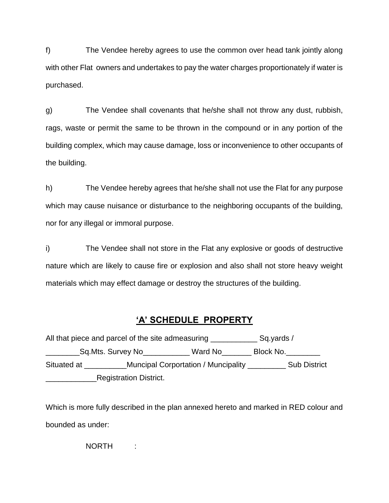f) The Vendee hereby agrees to use the common over head tank jointly along with other Flat owners and undertakes to pay the water charges proportionately if water is purchased.

g) The Vendee shall covenants that he/she shall not throw any dust, rubbish, rags, waste or permit the same to be thrown in the compound or in any portion of the building complex, which may cause damage, loss or inconvenience to other occupants of the building.

h) The Vendee hereby agrees that he/she shall not use the Flat for any purpose which may cause nuisance or disturbance to the neighboring occupants of the building, nor for any illegal or immoral purpose.

i) The Vendee shall not store in the Flat any explosive or goods of destructive nature which are likely to cause fire or explosion and also shall not store heavy weight materials which may effect damage or destroy the structures of the building.

# **'A' SCHEDULE PROPERTY**

All that piece and parcel of the site admeasuring \_\_\_\_\_\_\_\_\_\_\_\_\_\_\_ Sq.yards / \_Sq.Mts. Survey No\_\_\_\_\_\_\_\_\_\_\_\_ Ward No\_\_\_\_\_\_\_ Block No.\_\_\_\_\_\_\_\_ Situated at \_\_\_\_\_\_\_\_\_\_\_Muncipal Corportation / Muncipality \_\_\_\_\_\_\_\_\_\_\_\_\_ Sub District **Example 21 Registration District.** 

Which is more fully described in the plan annexed hereto and marked in RED colour and bounded as under:

NORTH :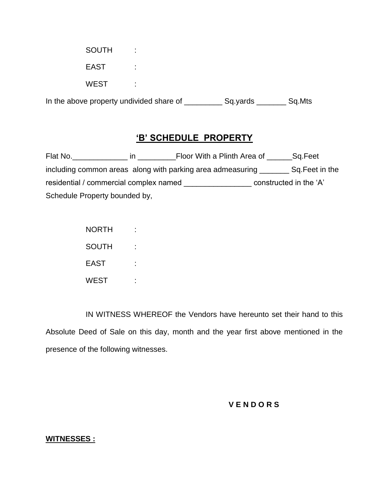| In the above property undivided share of |   | Sq.yards | Sq.Mts |
|------------------------------------------|---|----------|--------|
| <b>WEST</b>                              | ٠ |          |        |
| <b>EAST</b>                              |   |          |        |
| <b>SOUTH</b>                             | ٠ |          |        |

## **'B' SCHEDULE PROPERTY**

Flat No. \_\_\_\_\_\_\_\_\_\_\_\_\_\_\_\_\_ in \_\_\_\_\_\_\_\_\_\_\_\_Floor With a Plinth Area of \_\_\_\_\_\_\_Sq.Feet including common areas along with parking area admeasuring \_\_\_\_\_\_\_\_ Sq.Feet in the residential / commercial complex named \_\_\_\_\_\_\_\_\_\_\_\_\_\_\_\_ constructed in the 'A' Schedule Property bounded by,

| <b>NORTH</b> |  |
|--------------|--|
| <b>SOUTH</b> |  |
| <b>FAST</b>  |  |
| <b>WEST</b>  |  |

IN WITNESS WHEREOF the Vendors have hereunto set their hand to this Absolute Deed of Sale on this day, month and the year first above mentioned in the presence of the following witnesses.

#### **V E N D O R S**

#### **WITNESSES :**